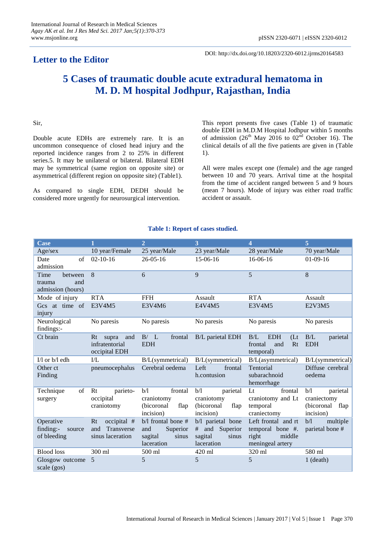# **Letter to the Editor**

DOI: http://dx.doi.org/10.18203/2320-6012.ijrms20164583

# **5 Cases of traumatic double acute extradural hematoma in M. D. M hospital Jodhpur, Rajasthan, India**

### Sir,

Double acute EDHs are extremely rare. It is an uncommon consequence of closed head injury and the reported incidence ranges from 2 to 25% in different series.5. It may be unilateral or bilateral. Bilateral EDH may be symmetrical (same region on opposite site) or asymmetrical (different region on opposite site) (Table1).

As compared to single EDH, DEDH should be considered more urgently for neurosurgical intervention.

This report presents five cases (Table 1) of traumatic double EDH in M.D.M Hospital Jodhpur within 5 months of admission (26<sup>th</sup> May 2016 to  $02<sup>nd</sup>$  October 16). The clinical details of all the five patients are given in (Table 1).

All were males except one (female) and the age ranged between 10 and 70 years. Arrival time at the hospital from the time of accident ranged between 5 and 9 hours (mean 7 hours). Mode of injury was either road traffic accident or assault.

#### **Table 1: Report of cases studied.**

| <b>Case</b>                                           | 1                                                          | $\overline{2}$                                                          | 3                                                                        | 4                                                                              | 5                                                                 |
|-------------------------------------------------------|------------------------------------------------------------|-------------------------------------------------------------------------|--------------------------------------------------------------------------|--------------------------------------------------------------------------------|-------------------------------------------------------------------|
| Age/sex                                               | 10 year/Female                                             | 25 year/Male                                                            | 23 year/Male                                                             | 28 year/Male                                                                   | 70 year/Male                                                      |
| $\sigma$ f<br>Date<br>admission                       | $02 - 10 - 16$                                             | $26 - 05 - 16$                                                          | 15-06-16                                                                 | 16-06-16                                                                       | $01-09-16$                                                        |
| Time<br>between<br>and<br>trauma<br>admission (hours) | 8                                                          | 6                                                                       | 9                                                                        | 5                                                                              | 8                                                                 |
| Mode of injury                                        | <b>RTA</b>                                                 | <b>FFH</b>                                                              | Assault                                                                  | <b>RTA</b>                                                                     | Assault                                                           |
| Gcs at time of<br>injury                              | E3V4M5                                                     | E3V4M6                                                                  | E4V4M5                                                                   | E3V4M5                                                                         | E2V3M5                                                            |
| Neurological<br>findings:-                            | No paresis                                                 | No paresis                                                              | No paresis                                                               | No paresis                                                                     | No paresis                                                        |
| Ct brain                                              | Rt<br>supra<br>and<br>infratentorial<br>occipital EDH      | B/L<br>frontal<br><b>EDH</b>                                            | <b>B/L</b> parietal EDH                                                  | <b>EDH</b><br>B/L<br>$($ Lt<br>frontal<br>Rt<br>and<br>temporal)               | B/L<br>parietal<br><b>EDH</b>                                     |
| I/l or b/l edh                                        | $\overline{L}$                                             | B/L(symmetrical)                                                        | B/L(symmetrical)                                                         | B/L(asymmetrical)                                                              | B/L(symmetrical)                                                  |
| Other ct<br>Finding                                   | pneumocephalus                                             | Cerebral oedema                                                         | Left<br>frontal<br>h.contusion                                           | Tentorial<br>subarachnoid<br>hemorrhage                                        | Diffuse cerebral<br>oedema                                        |
| Technique<br>of<br>surgery                            | Rt<br>parieto-<br>occipital<br>craniotomy                  | frontal<br>b/l<br>craniotomy<br>(bicoronal<br>flap<br>incision)         | b/l<br>parietal<br>craniotomy<br>(bicoronal<br>flap<br>incision)         | $1$<br>frontal<br>craniotomy and Lt<br>temporal<br>craniectomy                 | b/l<br>parietal<br>craniectomy<br>(bicoronal<br>flap<br>incision) |
| Operative<br>finding:-<br>source<br>of bleeding       | occipital #<br>Rt<br>Transverse<br>and<br>sinus laceration | b/l frontal bone #<br>Superior<br>and<br>sinus<br>sagital<br>laceration | b/l parietal bone<br>and Superior<br>#<br>sagital<br>sinus<br>laceration | Left frontal and rt<br>temporal bone #.<br>middle<br>right<br>meningeal artery | multiple<br>b/l<br>parietal bone #                                |
| <b>Blood</b> loss                                     | 300 ml                                                     | 500 ml                                                                  | 420 ml                                                                   | 320 ml                                                                         | 580 ml                                                            |
| Glosgow outcome<br>scale (gos)                        | 5                                                          | 5                                                                       | 5                                                                        | 5                                                                              | $1$ (death)                                                       |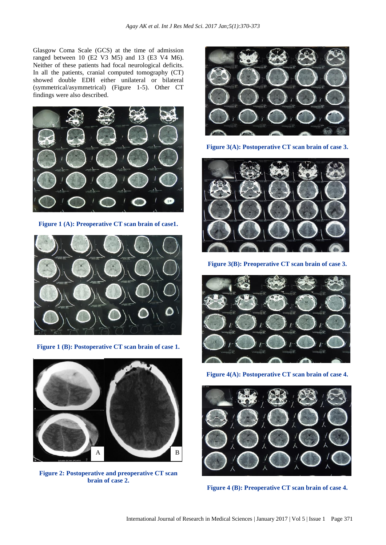Glasgow Coma Scale (GCS) at the time of admission ranged between 10 (E2 V3 M5) and 13 (E3 V4 M6). Neither of these patients had focal neurological deficits. In all the patients, cranial computed tomography (CT) showed double EDH either unilateral or bilateral (symmetrical/asymmetrical) (Figure 1-5). Other CT findings were also described.



**Figure 1 (A): Preoperative CT scan brain of case1.**



**Figure 1 (B): Postoperative CT scan brain of case 1.**



**Figure 2: Postoperative and preoperative CT scan brain of case 2.**



**Figure 3(A): Postoperative CT scan brain of case 3.**



**Figure 3(B): Preoperative CT scan brain of case 3.**



**Figure 4(A): Postoperative CT scan brain of case 4.**



**Figure 4 (B): Preoperative CT scan brain of case 4.**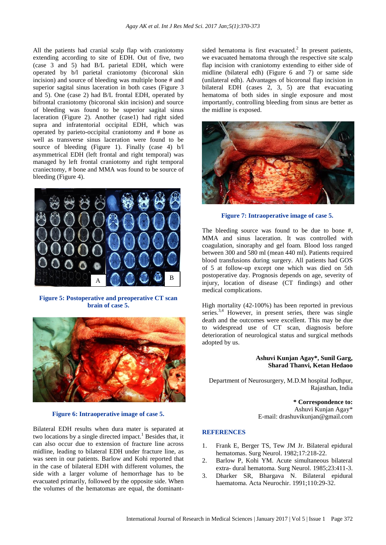All the patients had cranial scalp flap with craniotomy extending according to site of EDH. Out of five, two (case 3 and 5) had B/L parietal EDH, which were operated by b/l parietal craniotomy (bicoronal skin incision) and source of bleeding was multiple bone # and superior sagital sinus laceration in both cases (Figure 3 and 5). One (case 2) had B/L frontal EDH, operated by bifrontal craniotomy (bicoronal skin incision) and source of bleeding was found to be superior sagital sinus laceration (Figure 2). Another (case1) had right sided supra and infratentorial occipital EDH, which was operated by parieto-occipital craniotomy and # bone as well as transverse sinus laceration were found to be source of bleeding (Figure 1). Finally (case 4) b/l asymmetrical EDH (left frontal and right temporal) was managed by left frontal craniotomy and right temporal craniectomy, # bone and MMA was found to be source of bleeding (Figure 4).



**Figure 5: Postoperative and preoperative CT scan brain of case 5.**



**Figure 6: Intraoperative image of case 5.**

Bilateral EDH results when dura mater is separated at two locations by a single directed impact.<sup>1</sup> Besides that, it can also occur due to extension of fracture line across midline, leading to bilateral EDH under fracture line, as was seen in our patients. Barlow and Kohi reported that in the case of bilateral EDH with different volumes, the side with a larger volume of hemorrhage has to be evacuated primarily, followed by the opposite side. When the volumes of the hematomas are equal, the dominant-

sided hematoma is first evacuated. $^{2}$  In present patients, we evacuated hematoma through the respective site scalp flap incision with craniotomy extending to either side of midline (bilateral edh) (Figure 6 and 7) or same side (unilateral edh). Advantages of bicoronal flap incision in bilateral EDH (cases 2, 3, 5) are that evacuating hematoma of both sides in single exposure and most importantly, controlling bleeding from sinus are better as the midline is exposed.



**Figure 7: Intraoperative image of case 5.**

The bleeding source was found to be due to bone #, MMA and sinus laceration. It was controlled with coagulation, sinoraphy and gel foam. Blood loss ranged between 300 and 580 ml (mean 440 ml). Patients required blood transfusions during surgery. All patients had GOS of 5 at follow-up except one which was died on 5th postoperative day. Prognosis depends on age, severity of injury, location of disease (CT findings) and other medical complications.

High mortality (42-100%) has been reported in previous series. $3,4$  However, in present series, there was single death and the outcomes were excellent. This may be due to widespread use of CT scan, diagnosis before deterioration of neurological status and surgical methods adopted by us.

## **Ashuvi Kunjan Agay\*, Sunil Garg, Sharad Thanvi, Ketan Hedaoo**

Department of Neurosurgery, M.D.M hospital Jodhpur, Rajasthan, India

> **\* Correspondence to:** Ashuvi Kunjan Agay\* E-mail: drashuvikunjan@gmail.com

#### **REFERENCES**

- 1. Frank E, Berger TS, Tew JM Jr. Bilateral epidural hematomas. Surg Neurol. 1982;17:218-22.
- 2. Barlow P, Kohi YM. Acute simultaneous bilateral extra- dural hematoma. Surg Neurol. 1985;23:411-3.
- 3. Dharker SR, Bhargava N. Bilateral epidural haematoma. Acta Neurochir. 1991;110:29-32.